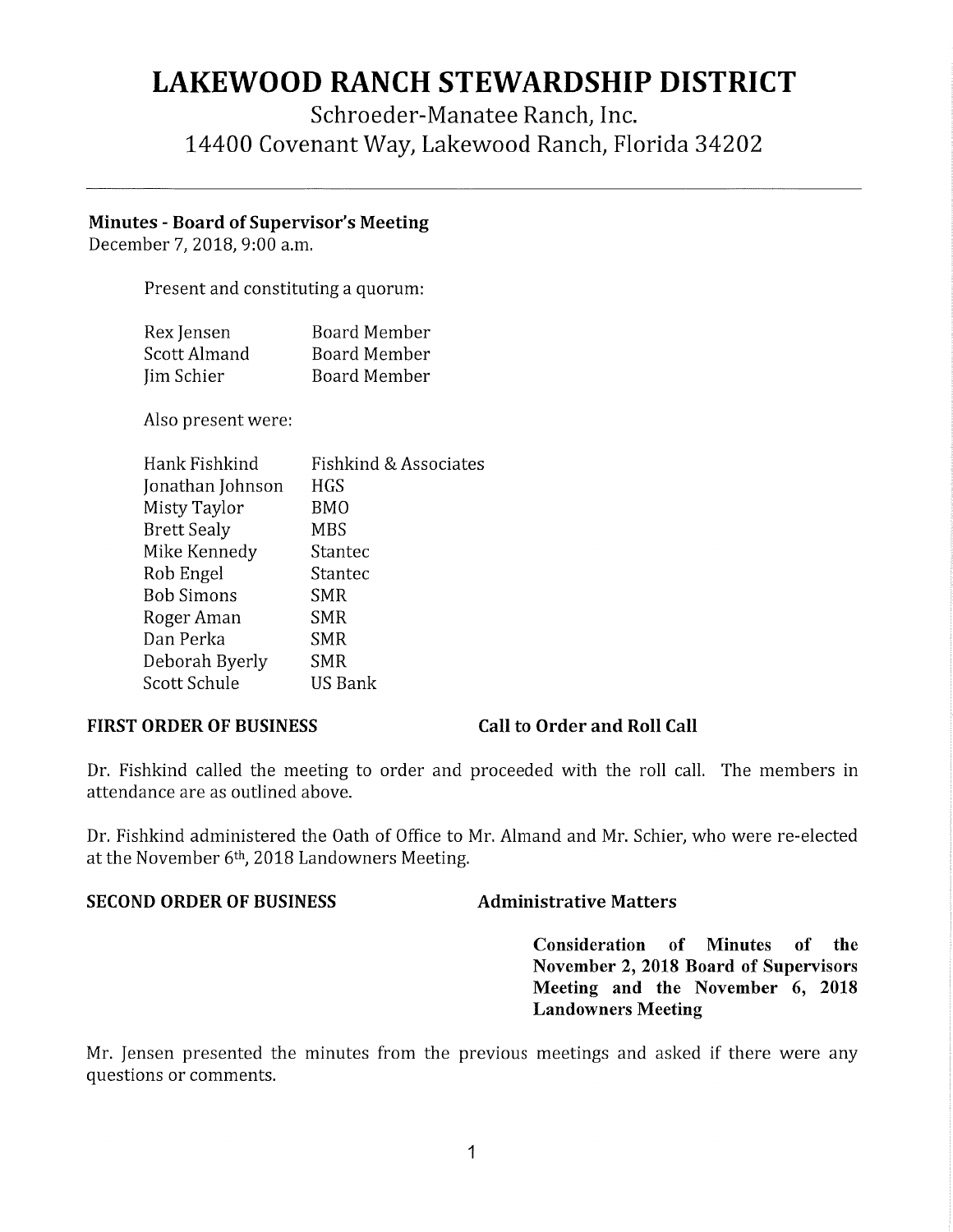# **LAKEWOOD RANCH STEWARDSHIP DISTRICT**

## Schroeder-Manatee Ranch, Inc. 14400 Covenant Way, Lakewood Ranch, Florida 34202

### **Minutes** - **Board of Supervisor's Meeting**

December 7, 2018, 9:00 a.m.

Present and constituting a quorum:

| Rex Jensen   | Board Member        |
|--------------|---------------------|
| Scott Almand | Board Member        |
| Jim Schier   | <b>Board Member</b> |

Also present were:

| Hank Fishkind      | Fishkind & Associates |
|--------------------|-----------------------|
| Jonathan Johnson   | HGS                   |
| Misty Taylor       | BMO                   |
| <b>Brett Sealy</b> | MBS                   |
| Mike Kennedy       | Stantec               |
| Rob Engel          | Stantec               |
| <b>Bob Simons</b>  | SMR                   |
| Roger Aman         | SMR                   |
| Dan Perka          | SMR                   |
| Deborah Byerly     | SMR                   |
| Scott Schule       | US Bank               |

### **FIRST ORDER OF BUSINESS Call to Order and Roll Call**

Dr. Fishkind called the meeting to order and proceeded with the roll call. The members in attendance are as outlined above.

Dr. Fishkind administered the Oath of Office to Mr. Almand and Mr. Schier, who were re-elected at the November 6th, 2018 Landowners Meeting.

### **SECOND ORDER OF BUSINESS Administrative Matters**

**Consideration of Minutes of the November 2, 2018 Board of Supervisors Meeting and the November 6, 2018 Landowners Meeting** 

Mr. Jensen presented the minutes from the previous meetings and asked if there were any questions or comments.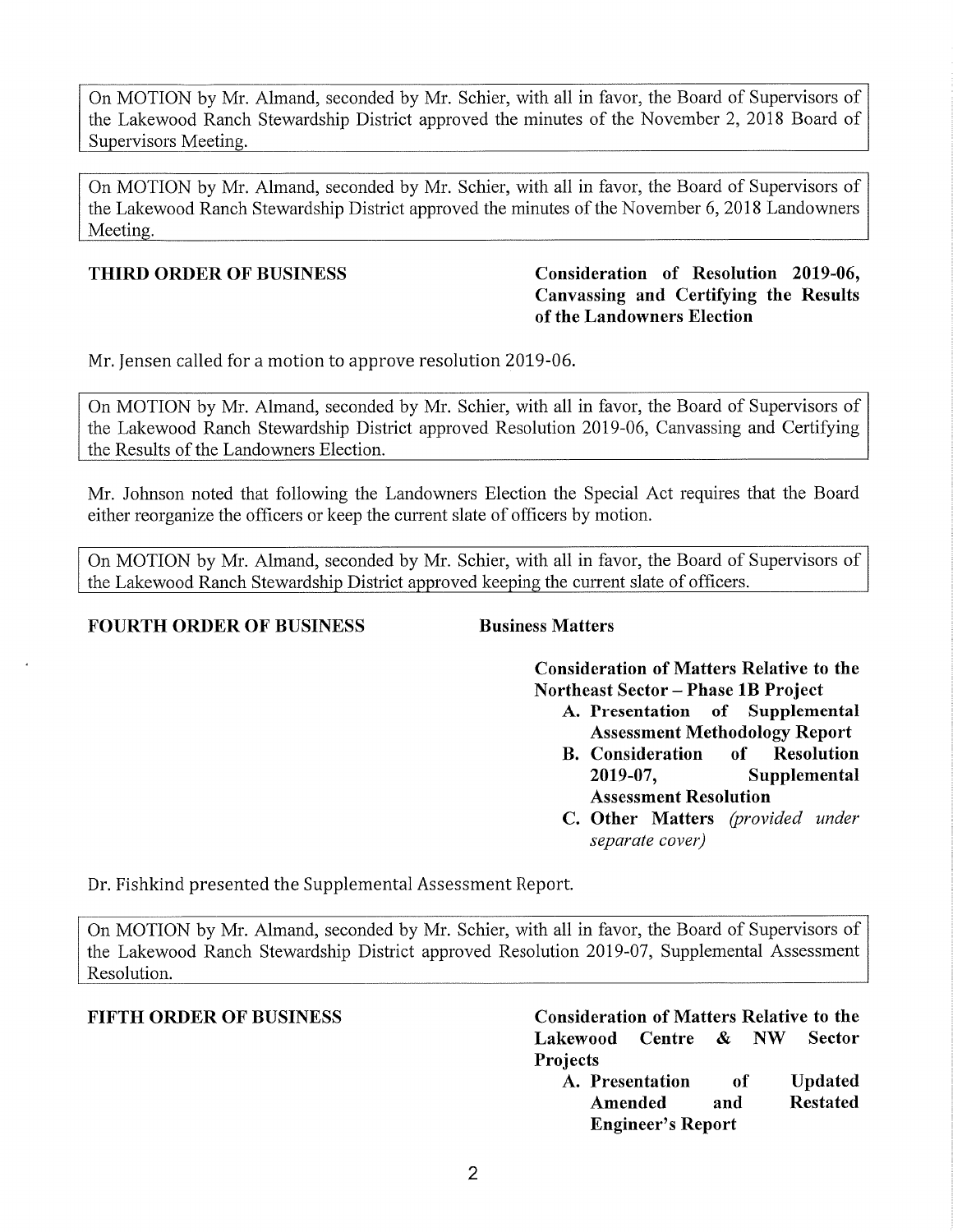On MOTION by Mr. Almand, seconded by Mr. Schier, with all in favor, the Board of Supervisors of the Lakewood Ranch Stewardship District approved the minutes of the November 2, 2018 Board of Supervisors Meeting.

On MOTION by Mr. Almand, seconded by Mr. Schier, with all in favor, the Board of Supervisors of the Lakewood Ranch Stewardship District approved the minutes of the November 6, 2018 Landowners Meeting.

### **THIRD ORDER OF BUSINESS**

### **Canvassing and Certifying th e Results of the Landowners Election**  Consideration of Resolution 2019-06,

Mr. Jensen called for a motion to approve resolution 2019-06.

On MOTION by Mr. Almand, seconded by Mr. Schier, with all in favor, the Board of Supervisors of the Lakewood Ranch Stewardship District approved Resolution 2019-06, Canvassing and Certifying the Results of the Landowners Election.

Mr. Johnson noted that following the Landowners Election the Special Act requires that the Board either reorganize the officers or keep the current slate of officers by motion.

On MOTION by Mr. Almand, seconded by Mr. Schier, with all in favor, the Board of Supervisors of the Lakewood Ranch Stewardship District approved keeping the current slate of officers.

### **FOURTH ORDER OF BUSINESS Business Matters**

**Consideration of Matters Relative to the Northeast Sector - Phase lB Project** 

- **A. Presentation of Supplemental Assessment Methodology Report**
- **B. Consideration of Resolution 2019-07, Supplemental Assessment Resolution**
- **C. Other Matters** *(provided under separate cover)*

Dr. Fishkind presented the Supplemental Assessment Report.

On MOTION by Mr. Almand, seconded by Mr. Schier, with all in favor, the Board of Supervisors of the Lakewood Ranch Stewardship District approved Resolution 2019-07, Supplemental Assessment Resolution.

**FIFTH ORDER OF BUSINESS Consideration of Matters Relative to the Lakewood Centre & NW Sector Projects** 

**A. Presentation of Updated Amended and Restated Engineer's Report**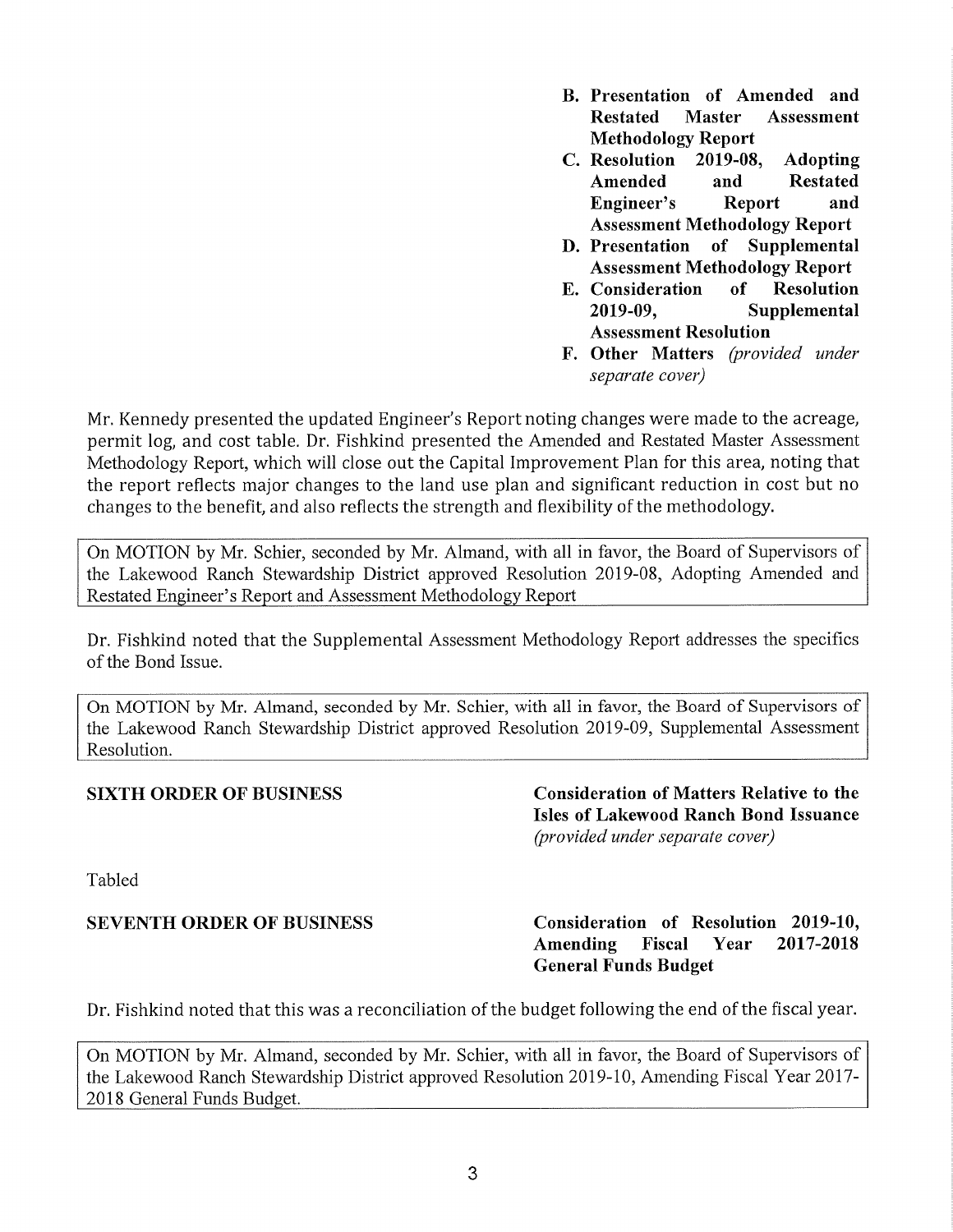- **B. Presentation of Amended and Restated Master Assessment Methodology Report**
- **C. Resolution 2019-08, Adopting Amended and Restated Engineer's Report and Assessment Methodology Report**
- **D. Presentation of Supplemental Assessment Methodology Report**
- **E. Consideration of Resolution 2019-09, Supplemental Assessment Resolution**
- **F. Other Matters** *(provided under separate cover)*

Mr. Kennedy presented the updated Engineer's Report noting changes were made to the acreage, permit log, and cost table. Dr. Fishkind presented the Amended and Restated Master Assessment Methodology Report, which will close out the Capital Improvement Plan for this area, noting that the report reflects major changes to the land use plan and significant reduction in cost but no changes to the benefit, and also reflects the strength and flexibility of the methodology.

On MOTION by Mr. Schier, seconded by Mr. Almand, with all in favor, the Board of Supervisors of the Lakewood Ranch Stewardship District approved Resolution 2019-08, Adopting Amended and Restated Engineer's Report and Assessment Methodology Report

Dr. Fishkind noted that the Supplemental Assessment Methodology Report addresses the specifics of the Bond Issue.

On MOTION by Mr. Almand, seconded by Mr. Schier, with all in favor, the Board of Supervisors of the Lakewood Ranch Stewardship District approved Resolution 2019-09, Supplemental Assessment Resolution.

**SIXTH ORDER OF BUSINESS Consideration of Matters Relative to the Isles of Lakewood Ranch Bond Issuance**  *(provided under separate cover)* 

Tabled

**SEVENTH ORDER OF BUSINESS Consideration of Resolution 2019-10, Amending Fiscal Year 2017-2018 General Funds Budget** 

Dr. Fishkind noted that this was a reconciliation of the budget following the end of the fiscal year.

On MOTION by Mr. Almand, seconded by Mr. Schier, with all in favor, the Board of Supervisors of the Lakewood Ranch Stewardship District approved Resolution 2019-10, Amending Fiscal Year 2017- 2018 General Funds Budget.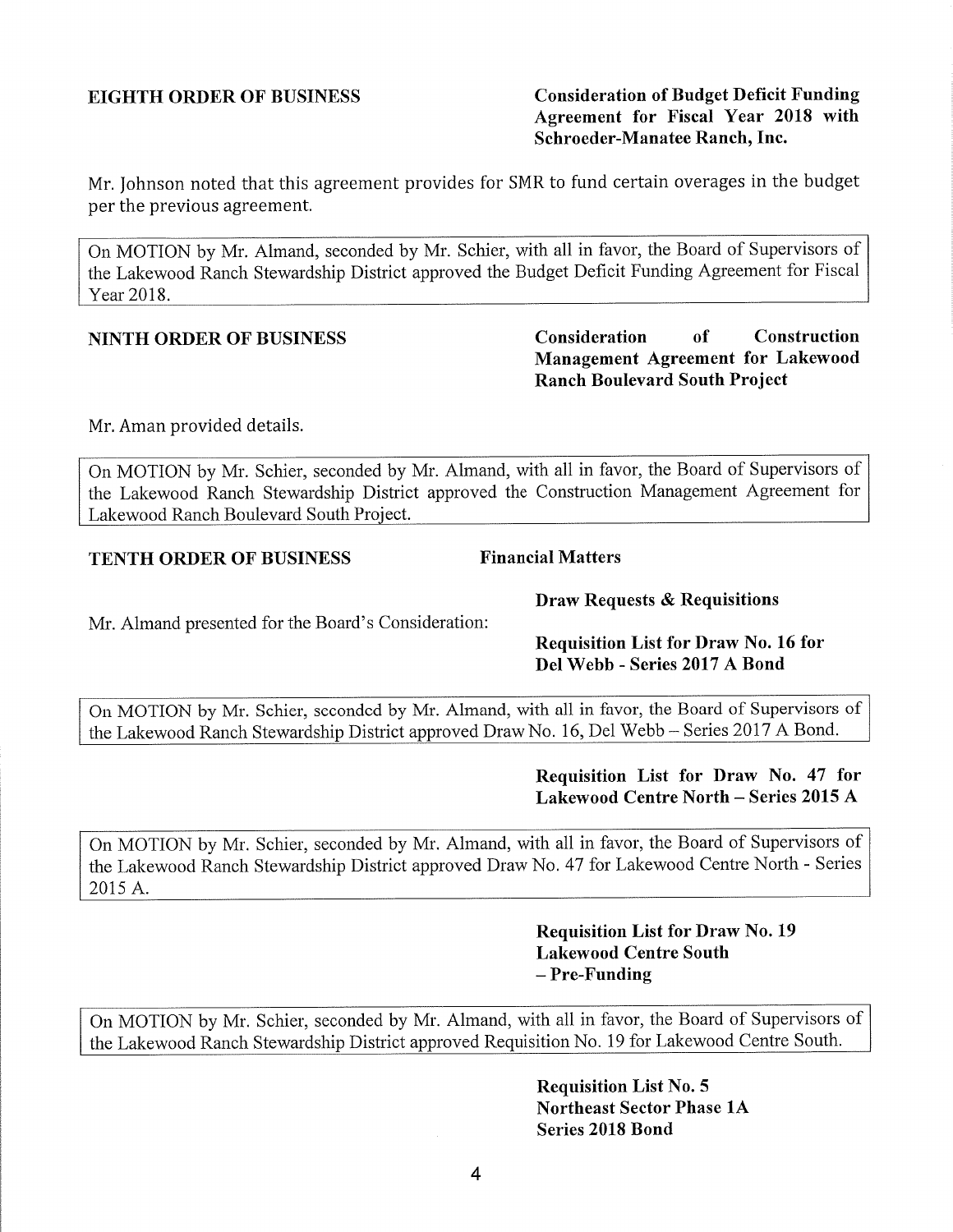Mr. Johnson noted that this agreement provides for SMR to fund certain overages in the budget per the previous agreement.

On MOTION by Mr. Almand, seconded by Mr. Schier, with all in favor, the Board of Supervisors of the Lakewood Ranch Stewardship District approved the Budget Deficit Funding Agreement for Fiscal Year 2018.

Mr. Aman provided details.

On MOTION by Mr. Schier, seconded by Mr. Almand, with all in favor, the Board of Supervisors of the Lakewood Ranch Stewardship District approved the Construction Management Agreement for Lakewood Ranch Boulevard South Project.

### **TENTH ORDER OF BUSINESS** Financial Matters

### **Draw Requests & Requisitions**

Mr. Almand presented for the Board's Consideration:

**Requisition List for Draw No. 16 for Del Webb - Series 2017 A Bond** 

On MOTION by Mr. Schier, seconded by Mr. Almand, with all in favor, the Board of Supervisors of the Lakewood Ranch Stewardship District approved Draw No. 16, Del Webb- Series 2017 A Bond.

### **Requisition List for Draw No. 47 for Lakewood Centre North - Series 2015 A**

On MOTION by Mr. Schier, seconded by Mr. Almand, with all in favor, the Board of Supervisors of the Lakewood Ranch Stewardship District approved Draw No. 47 for Lakewood Centre North - Series 2015 A.

> **Requisition List for Draw No. 19 Lakewood Centre South -Pre-Funding**

On MOTION by Mr. Schier, seconded by Mr. Almand, with all in favor, the Board of Supervisors of the Lakewood Ranch Stewardship District approved Requisition No. 19 for Lakewood Centre South.

> **Requisition List No. 5 Northeast Sector Phase lA Series 2018 Bond**

**NINTH ORDER OF BUSINESS Consideration of Construction Management Agreement for Lakewood Ranch Boulevard South Project** 

### **EIGHTH ORDER OF BUSINESS Consideration of Budget Deficit Funding Agreement for Fiscal Year 2018 with Schroeder-Manatee Ranch, Inc.**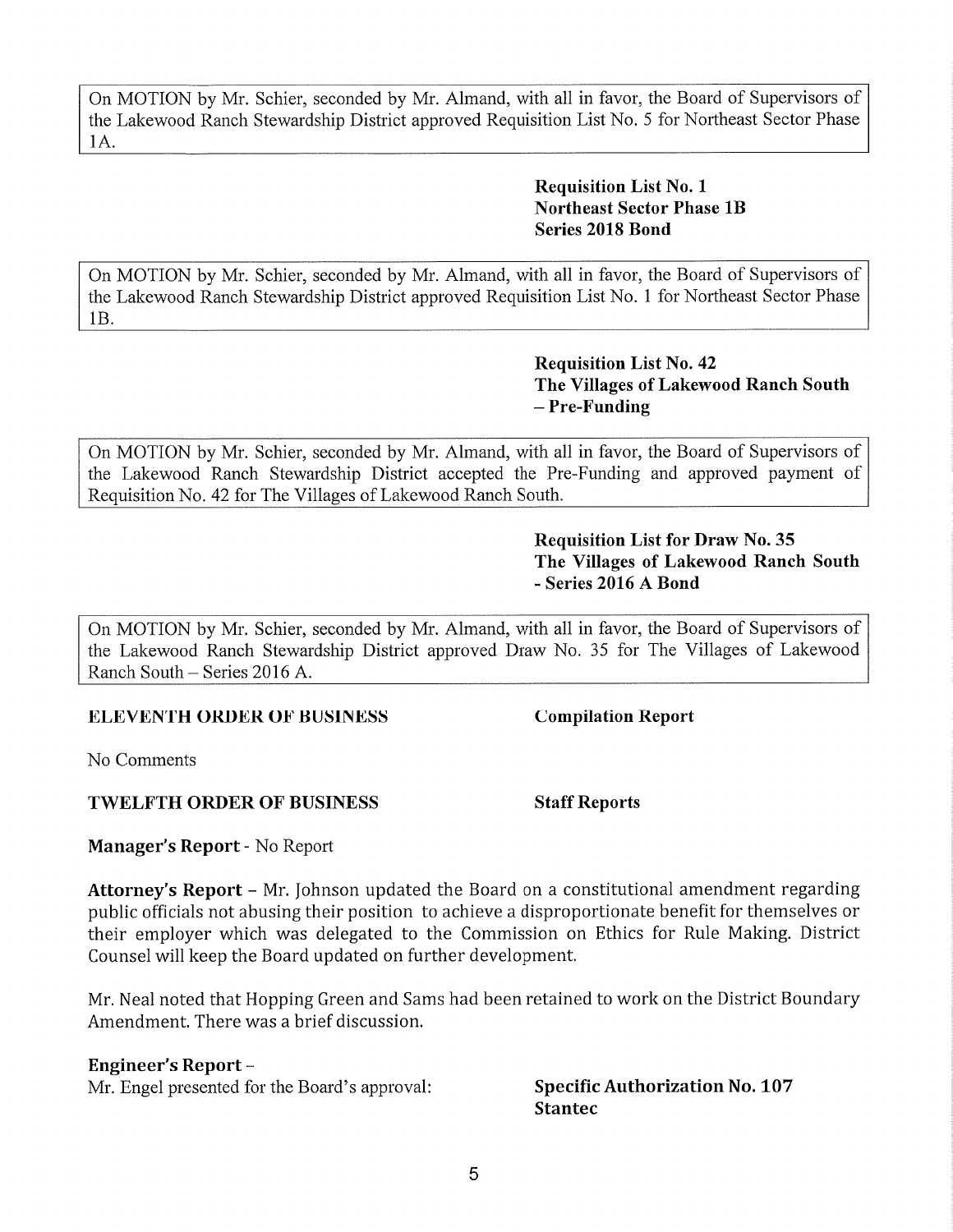On MOTION by Mr. Schier, seconded by Mr. Almand, with all in favor, the Board of Supervisors of the Lakewood Ranch Stewardship District approved Requisition List No. 5 for Northeast Sector Phase IA.

> **Requisition List No. 1 Northeast Sector Phase lB Series 2018 Bond**

On MOTION by Mr. Schier, seconded by Mr. Almand, with all in favor, the Board of Supervisors of the Lakewood Ranch Stewardship District approved Requisition List No. 1 for Northeast Sector Phase lB.

> **Requisition List No. 42 The Villages of Lakewood Ranch South -Pre-Funding**

On MOTION by Mr. Schier, seconded by Mr. Almand, with all in favor, the Board of Supervisors of the Lakewood Ranch Stewardship District accepted the Pre-Funding and approved payment of Requisition No. 42 for The Villages of Lakewood Ranch South.

> **Requisition List for Draw No. 35 The Villages of Lakewood Ranch South**  - **Series 2016 A Bond**

On MOTION by Mr. Schier, seconded by Mr. Almand, with all in favor, the Board of Supervisors of the Lakewood Ranch Stewardship District approved Draw No. 35 for The Villages of Lakewood Ranch South - Series 2016 A.

### **ELEVENTH ORDER OF BUSINESS Compilation Report**

No Comments

### **TWELFTH ORDER OF BUSINESS Staff Reports**

**Manager's Report** - No Report

Attorney's Report - Mr. Johnson updated the Board on a constitutional amendment regarding public officials not abusing their position to achieve a disproportionate benefit for themselves or their employer which was delegated to the Commission on Ethics for Rule Making. District Counsel will keep the Board updated on further development.

Mr. Neal noted that Hopping Green and Sams had been retained to work on the District Boundary Amendment. There was a brief discussion.

### **Engineer's Report-**

Mr. Engel presented for the Board's approval: **Specific Authorization No. 107** 

# **Stantec**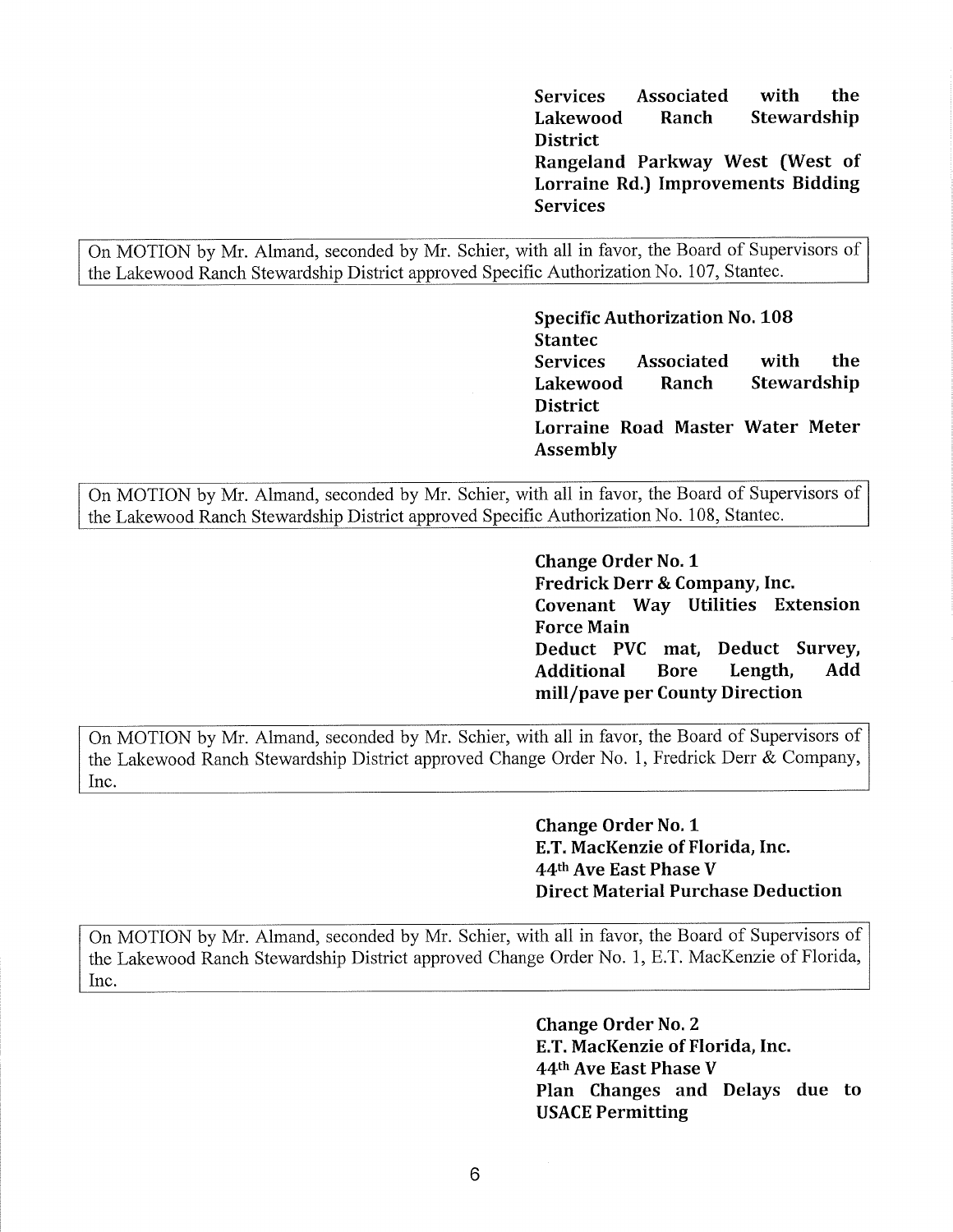**Services Associated with the Lakewood Ranch Stewardship District Rangeland Parkway West (West of** 

**Lorraine Rd.) Improvements Bidding Services** 

On MOTION by Mr. Almand, seconded by Mr. Schier, with all in favor, the Board of Supervisors of the Lakewood Ranch Stewardship District approved Specific Authorization No. 107, Stantec.

> **Specific Authorization No. 108 Stantec Services Associated with the Lakewood Ranch Stewardship District Lorraine Road Master Water Meter Assembly**

On MOTION by Mr. Almand, seconded by Mr. Schier, with all in favor, the Board of Supervisors of the Lakewood Ranch Stewardship District approved Specific Authorization No. 108, Stantec.

> **Change Order No. 1 Fredrick Derr & Company, Inc. Covenant Way Utilities Extension Force Main Deduct PVC mat, Deduct Survey, Additional Bore Length, Add mill/pave per County Direction**

On MOTION by Mr. Almand, seconded by Mr. Schier, with all in favor, the Board of Supervisors of the Lakewood Ranch Stewardship District approved Change Order No. 1, Fredrick Derr & Company, Inc.

> **Change Order No. 1 E.T. MacKenzie of Florida, Inc. 44th Ave East Phase V Direct Material Purchase Deduction**

On MOTION by Mr. Almand, seconded by Mr. Schier, with all in favor, the Board of Supervisors of the Lakewood Ranch Stewardship District approved Change Order No. 1, E.T. MacKenzie of Florida, Inc.

> **Change Order No. 2 E.T. MacKenzie of Florida, Inc. 44th Ave East Phase V Plan Changes and Delays due to USACE Permitting**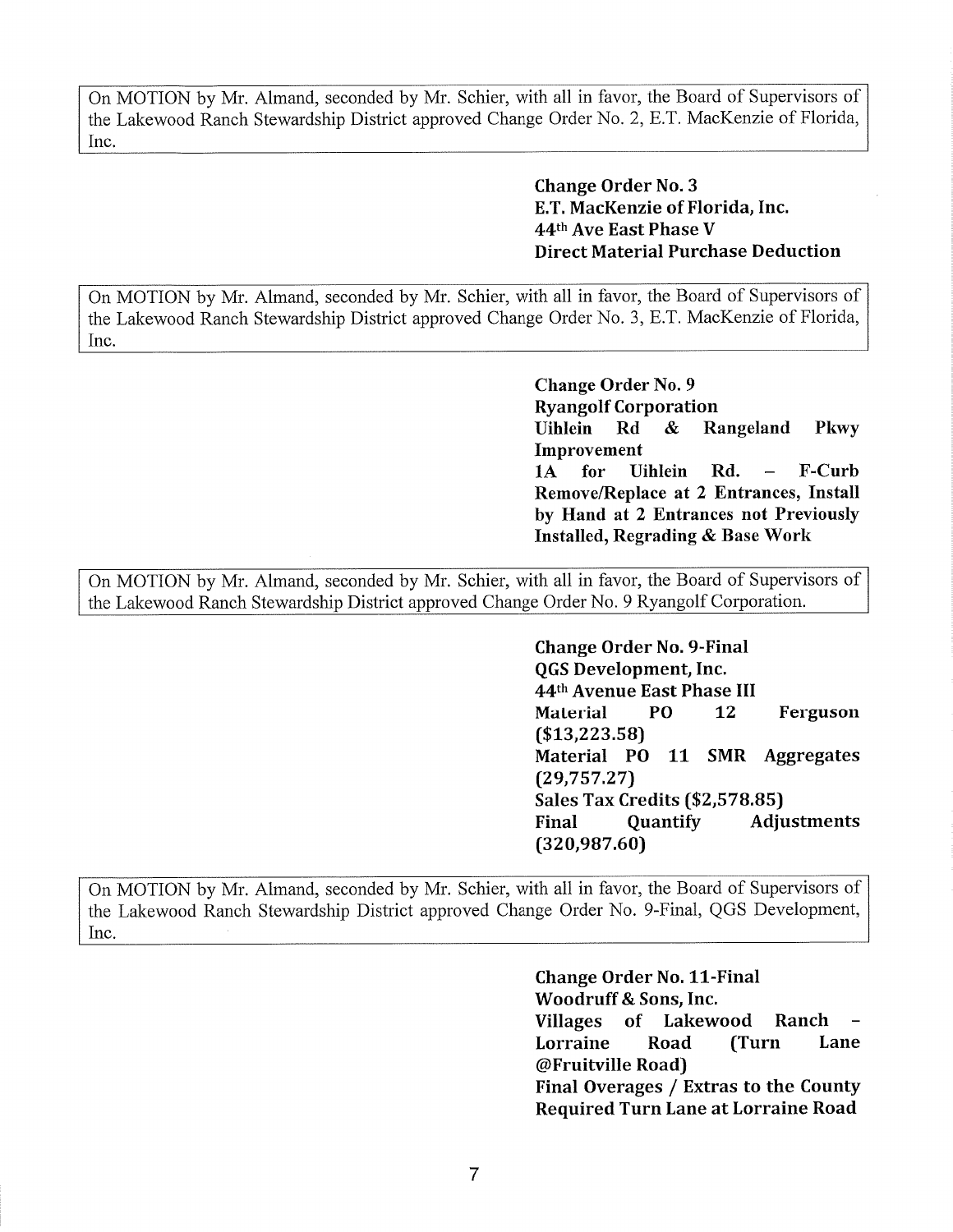On MOTION by Mr. Almand, seconded by Mr. Schier, with all in favor, the Board of Supervisors of the Lakewood Ranch Stewardship District approved Change Order No. 2, E.T. MacKenzie of Florida, Inc.

> **Change Order No. 3 E.T. MacKenzie of Florida, Inc. 44th Ave East Phase V Direct Material Purchase Deduction**

On MOTION by Mr. Almand, seconded by Mr. Schier, with all in favor, the Board of Supervisors of the Lakewood Ranch Stewardship District approved Change Order No. 3, E.T. MacKenzie of Florida, Inc.

> **Change Order No. 9 Ryangolf Corporation Uihlein Rd** & **Rangeland Pkwy Improvement lA for Uihlein Rd. F-Curb Remove/Replace at 2 Entrances, Install by Hand at 2 Entrances not Previously Installed, Regrading** & **Base Work**

On MOTION by Mr. Almand, seconded by Mr. Schier, with all in favor, the Board of Supervisors of the Lakewood Ranch Stewardship District approved Change Order No. 9 Ryangolf Corporation.

> **Change Order No. 9-Final QGS Development, Inc. 44th Avenue East Phase** III **Material PO 12 Ferguson (\$[13,223.58](https://13,223.58)) Material PO 11 SMR Aggregates ([29,757.27](https://29,757.27)) Sales Tax Credits (\$[2,578.85](https://2,578.85)) Final Quantify Adjustments ([320,987.60](https://320,987.60))**

On MOTION by Mr. Almand, seconded by Mr. Schier, with all in favor, the Board of Supervisors of the Lakewood Ranch Stewardship District approved Change Order No. 9-Final, QGS Development, Inc.

> **Change Order No. 11-Final Woodruff** & **Sons, Inc. Villages of Lakewood Ranch** - **Lorraine Road (Turn Lane @Fruitville Road) Final Overages** / **Extras to the County Required Turn Lane at Lorraine Road**